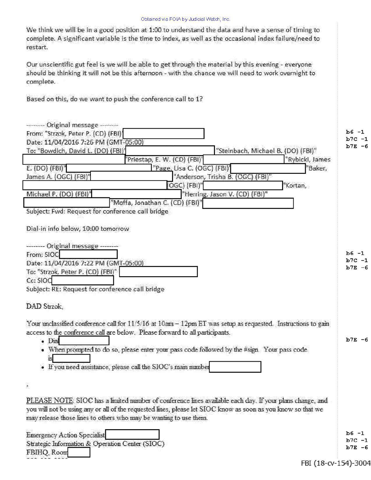We think we will be in a good position at 1:00 to understand the data and have a sense of timing to complete. A significant variable is the time to index, as well as the occasional index failure/need to restart.

Our unscientific gut feel is we will be able to get through the material by this evening - everyone should be thinking it will not be this afternoon - with the chance we will need to work overnight to complete.

Based on this, do we want to push the conference call to 1?

| -------- Original message --------                                                                           |                      |
|--------------------------------------------------------------------------------------------------------------|----------------------|
| From: "Strzok, Peter P. (CD) (FBI)                                                                           | b6<br>$-1$<br>b7C -1 |
| Date: 11/04/2016 7:26 PM (GMT-05:00)                                                                         | $b7E - 6$            |
| To: "Bowdich, David L. (DO) (FBI)'<br>"Steinbach, Michael B. (DO) (FBI)"<br>"Rybicki, James                  |                      |
| 'Priestap, E. W. (CD) (FBI)'<br>"Baker,                                                                      |                      |
| "Page, Lisa C. (OGC) (FBI)]<br>E. (DO) (FB!)                                                                 |                      |
| James A. (OGC) (FBI)'<br>'Anderson, Trisha B. (OGC) (FBI)"                                                   |                      |
| OGC) (FBI)"<br>"Kortan,<br>Michael P. (DO) (FBI)"                                                            |                      |
| "Herring, Jason V. (CD) (FBI)"                                                                               |                      |
| "Moffa, Jonathan C. (CD) (FBI)"                                                                              |                      |
| Subject: Fwd: Request for conference call bridge                                                             |                      |
| Dial-in info below, 10:00 tomorrow                                                                           |                      |
| <b>Channel Original message</b>                                                                              |                      |
| From: SIOC                                                                                                   | $b6 - 1$             |
| Date: 11/04/2016 7:22 PM (GMT-05:00)                                                                         | $b7C -1$             |
| To: "Strzok, Peter P. (CD) (FBI)"                                                                            | $b7E - 6$            |
| Cc: SIOC                                                                                                     |                      |
| Subject: RE: Request for conference call bridge                                                              |                      |
|                                                                                                              |                      |
| DAD Strzok.                                                                                                  |                      |
| Your unclassified conference call for 11/5/16 at 10am - 12pm ET was setup as requested. Instructions to gain |                      |
| access to the conference call are below. Please forward to all participants.                                 |                      |
| Dial                                                                                                         | $b7E - 6$            |
| When prompted to do so, please enter your pass code followed by the #sign. Your pass code                    |                      |
|                                                                                                              |                      |
| If you need assistance, please call the SIOC's main number                                                   |                      |
|                                                                                                              |                      |
|                                                                                                              |                      |
| PLEASE NOTE: SIOC has a limited number of conference lines available each day. If your plans change, and     |                      |
| you will not be using any or all of the requested lines, please let SIOC know as soon as you know so that we |                      |
| may release those lines to others who may be wanting to use them.                                            |                      |
|                                                                                                              |                      |
| <b>Emergency Action Specialist</b>                                                                           | $b6 -1$              |
| Strategic Information & Operation Center (SIOC)                                                              | $b7C -1$             |
| FBIHQ, Room                                                                                                  | $b7E - 6$            |
|                                                                                                              |                      |
| FBI (18-cv-154)-3004                                                                                         |                      |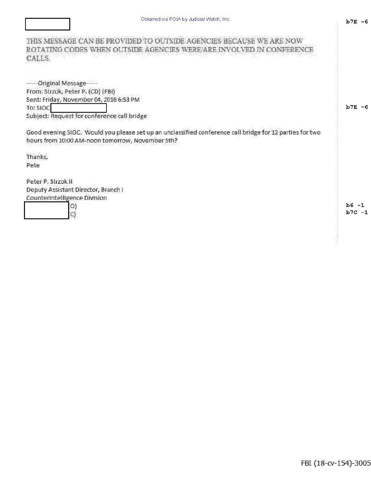THIS MESSAGE CAN BE PROVIDED TO OUTSIDE AGENCIES BECAUSE WE ARE NOW ROTATING CODES WHEN OUTSIDE AGENCIES WERE/ARE INVOLVED IN CONFERENCE CALLS.

------Original Message-----From: Strzok, Peter P. (CD) (FBI) Sent: Friday, November 04, 2016 6:53 PM To: SIOC Subject: Request for conference call bridge

Good evening SIOC. Would you please set up an unclassified conference call bridge for 12 parties for two hours from 10:00 AM-noon tomorrow, November 5th?

Thanks, Pete

Peter P. Strzok II Deputy Assistant Director, Branch I Counterintelligence Division



 $b6 -1$  $b7C -1$ 

 $b7E - 6$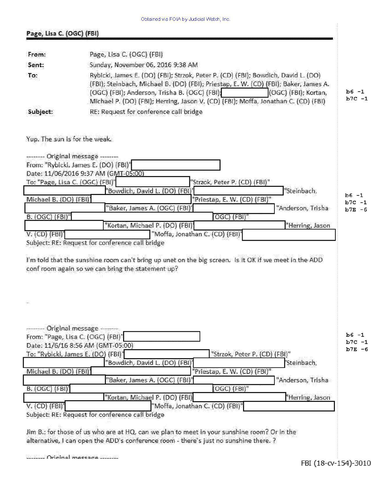| Page, Lisa C. (OGC) (FBI) |  |
|---------------------------|--|
|                           |  |

| From:    | Page, Lisa C. (OGC) (FBI)                                                                                                                                                                                                                                                                                                                |                     |
|----------|------------------------------------------------------------------------------------------------------------------------------------------------------------------------------------------------------------------------------------------------------------------------------------------------------------------------------------------|---------------------|
| Sent:    | Sunday, November 06, 2016 9:38 AM                                                                                                                                                                                                                                                                                                        |                     |
| To:      | Rybicki, James E. (DO) (FBI); Strzok, Peter P. (CD) (FBI); Bowdich, David L. (DO)<br>(FBI); Steinbach, Michael B. (DO) (FBI); Priestap, E. W. (CD) (FBI); Baker, James A.<br>(OGC) (FBI); Anderson, Trisha B. (OGC) (FBI);<br>(OGC) (FBI); Kortan,<br>Michael P. (DO) (FBI); Herring, Jason V. (CD) (FBI); Moffa, Jonathan C. (CD) (FBI) | $b6 -1$<br>$b7C -1$ |
| Subject: | RE: Request for conference call bridge                                                                                                                                                                                                                                                                                                   |                     |

Yup. The sun is for the weak.

| Date: 11/06/2016 9:37 AM (GMT-05:00)<br>To: "Page, Lisa C. (OGC) (FBI)" |                                                 | "Strzok, Peter P. (CD) (FBI)"   |                                                                                                       |                     |
|-------------------------------------------------------------------------|-------------------------------------------------|---------------------------------|-------------------------------------------------------------------------------------------------------|---------------------|
|                                                                         | "Bowdich, David L. (DO) (FBI)                   |                                 | "Steinbach,                                                                                           |                     |
| Michael B. (DO) (FBI)'                                                  |                                                 | "Priestap, E. W. (CD) (FBI)"    |                                                                                                       | $b6 -1$<br>$b7C -1$ |
|                                                                         | "Baker, James A. (OGC) (FBI)                    |                                 | "Anderson, Trisha                                                                                     | $b7E - 6$           |
| B. (OGC) (FBI)"                                                         |                                                 | [OGC) (FBI)"                    |                                                                                                       |                     |
|                                                                         | "Kortan, Michael P. (DO) (FBI)                  |                                 | "Herring, Jason                                                                                       |                     |
| $V.$ (CD) $(FBI)'$                                                      |                                                 | "Moffa, Jonathan C. (CD) (FBI)" |                                                                                                       |                     |
|                                                                         | Subject: RE: Request for conference call bridge |                                 |                                                                                                       |                     |
|                                                                         |                                                 |                                 |                                                                                                       |                     |
|                                                                         |                                                 |                                 | I'm told that the sunshine room can't bring up unet on the big screen. Is it OK if we meet in the ADD |                     |

| ------- Original message -------                |                                 |                   |           |
|-------------------------------------------------|---------------------------------|-------------------|-----------|
| From: "Page, Lisa C. (OGC) (FBI)"               |                                 |                   | $b6 -1$   |
| Date: 11/6/16 8:56 AM (GMT-05:00)               |                                 |                   | $b7C -1$  |
| To: "Rybicki, James E. (DO) (FBI)"              | "Strzok, Peter P. (CD) (FBI)"   |                   | $b7E - 6$ |
| 'Bowdich, David L. (DO) (FBI)                   |                                 | 'Steinbach,       |           |
| Michael B. (DO) (FBI)'                          | "Priestap, E. W. (CD) (FBI)"    |                   |           |
| "Baker, James A. (OGC) (FBI)'                   |                                 | "Anderson, Trisha |           |
| B. (OGC) (FBI)'                                 | [OGC] (FBI)"                    |                   |           |
| "Kortan, Michael P. (DO) (FBI)                  |                                 | "Herring, Jason   |           |
| V. (CD) (FBI)'                                  | "Moffa, Jonathan C. (CD) (FBI)" |                   |           |
| Subject: RE: Request for conference call bridge |                                 |                   |           |
|                                                 |                                 |                   |           |

Jim B.: for those of us who are at HQ, can we plan to meet in your sunshine room? Or in the alternative, I can open the ADD's conference room - there's just no sunshine there. ?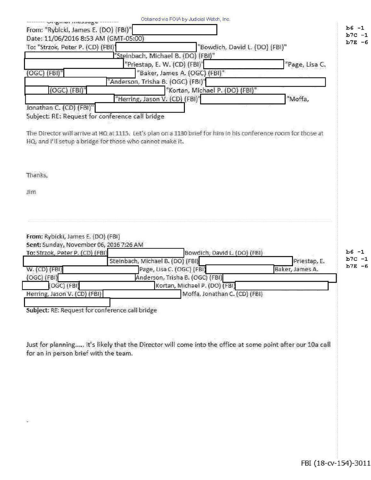| From: "Rybicki, James E. (DO) (FBI)"                                                                             | Obtained via FOIA by Judicial Watch, Inc.                                                                      |                                |                        |
|------------------------------------------------------------------------------------------------------------------|----------------------------------------------------------------------------------------------------------------|--------------------------------|------------------------|
|                                                                                                                  |                                                                                                                |                                | $b6 - 1$               |
| Date: 11/06/2016 8:53 AM (GMT-05:00)                                                                             |                                                                                                                |                                | $b7C - 1$<br>$b7E - 6$ |
| To: "Strzok, Peter P. (CD) (FBI)'                                                                                |                                                                                                                | "Bowdich, David L. (DO) (FBI)" |                        |
|                                                                                                                  | "Steinbach, Michael B. (DO) (FBI)"                                                                             |                                |                        |
|                                                                                                                  | "Priestap, E. W. (CD) (FBI)"                                                                                   | "Page, Lisa C.                 |                        |
| (OGC) (FBI)"                                                                                                     | "Baker, James A. (OGC) (FBI)"                                                                                  |                                |                        |
|                                                                                                                  | "Anderson, Trisha B. (OGC) (FBI)"                                                                              |                                |                        |
| (OGC) (FBI)"                                                                                                     | "Kortan, Michael P. (DO) (FBI)"                                                                                |                                |                        |
|                                                                                                                  | "Herring, Jason V. (CD) (FBI)"                                                                                 | "Moffa,                        |                        |
| Jonathan C. (CD) (FBI)"                                                                                          |                                                                                                                |                                |                        |
| Subject: RE: Request for conference call bridge                                                                  |                                                                                                                |                                |                        |
|                                                                                                                  |                                                                                                                |                                |                        |
| HQ, and I'll setup a bridge for those who cannot make it.                                                        | The Director will arrive at HQ at 1115. Let's plan on a 1130 brief for him in his conference room for those at |                                |                        |
| Thanks,                                                                                                          |                                                                                                                |                                |                        |
|                                                                                                                  |                                                                                                                |                                |                        |
| 3im                                                                                                              |                                                                                                                |                                |                        |
|                                                                                                                  |                                                                                                                |                                |                        |
|                                                                                                                  |                                                                                                                |                                |                        |
|                                                                                                                  |                                                                                                                |                                |                        |
| From: Rybicki, James E. (DO) (FBI)<br>Sent: Sunday, November 06, 2016 7:26 AM<br>To: Strzok, Peter P. (CD) (FBI) | Bowdich, David L. (DO) (FBI)                                                                                   |                                | $b6 -1$                |
|                                                                                                                  | Steinbach, Michael B. (DO) (FBI)                                                                               | Priestap, E.                   | $b7C -1$<br>$b7E - 6$  |
| $W.$ (CD) (FBI)                                                                                                  | Page, Lisa C. (OGC) (FBI)                                                                                      | Baker, James A.                |                        |
| (OGC) (FBI)                                                                                                      | Anderson, Trisha B. (OGC) (FBI)                                                                                |                                |                        |
| $(OGC)$ $(FBI)$                                                                                                  | Kortan, Michael P. (DO) (FBI)                                                                                  |                                |                        |
| Herring, Jason V. (CD) (FBI)                                                                                     | Moffa, Jonathan C. (CD) (FBI)                                                                                  |                                |                        |
|                                                                                                                  |                                                                                                                |                                |                        |
|                                                                                                                  |                                                                                                                |                                |                        |
| Subject: RE: Request for conference call bridge                                                                  |                                                                                                                |                                |                        |
|                                                                                                                  |                                                                                                                |                                |                        |
|                                                                                                                  |                                                                                                                |                                |                        |
|                                                                                                                  |                                                                                                                |                                |                        |
|                                                                                                                  | Just for planning, it's likely that the Director will come into the office at some point after our 10a call    |                                |                        |
| for an in person brief with the team.                                                                            |                                                                                                                |                                |                        |
|                                                                                                                  |                                                                                                                |                                |                        |
|                                                                                                                  |                                                                                                                |                                |                        |
|                                                                                                                  |                                                                                                                |                                |                        |
|                                                                                                                  |                                                                                                                |                                |                        |
|                                                                                                                  |                                                                                                                |                                |                        |
|                                                                                                                  |                                                                                                                |                                |                        |
|                                                                                                                  |                                                                                                                |                                |                        |
| $\ddot{\phantom{a}}$                                                                                             |                                                                                                                |                                |                        |
|                                                                                                                  |                                                                                                                |                                |                        |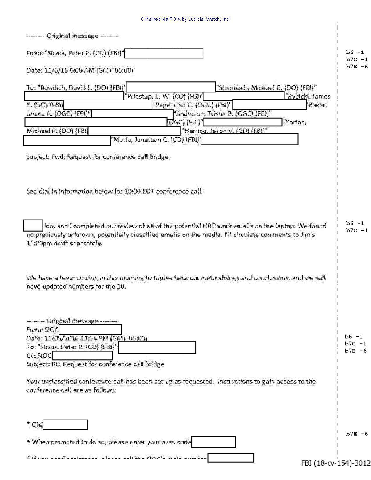| Obtained via FOIA by Judicial Watch, Inc. |  |
|-------------------------------------------|--|
|                                           |  |

| - Original message                                                                                                                                                                                                                                                                                                                                                                                                                                   |                                |
|------------------------------------------------------------------------------------------------------------------------------------------------------------------------------------------------------------------------------------------------------------------------------------------------------------------------------------------------------------------------------------------------------------------------------------------------------|--------------------------------|
| From: "Strzok, Peter P. (CD) (FBI)"                                                                                                                                                                                                                                                                                                                                                                                                                  | $b6 -1$<br>$b7C -1$            |
| Date: 11/6/16 6:00 AM (GMT-05:00)                                                                                                                                                                                                                                                                                                                                                                                                                    | $b7E - 6$                      |
| To: "Bowdich, David L. (DO) (FBI)"<br>"Steinbach, Michael B. (DO) (FBI)"<br>"Priestap, E. W. (CD) (FBI)'<br>"Rybicki, James<br>E. (DO) (FBI)<br>"Page, Lisa C. (OGC) (FBI)"<br>Baker,<br>James A. (OGC) (FBI)"<br>"Anderson, Trisha B. (OGC) (FBI)"<br>$\overline{\text{O}}$ GC) (FBI)"<br>"Kortan,<br>"Herring, Jason V, (CD) (FBI)"<br>Michael P. (DO) (FBI)<br>Moffa, Jonathan C. (CD) (FBI)'<br>Subject: Fwd: Request for conference call bridge |                                |
| See dial in information below for 10:00 EDT conference call.<br>Jon, and I completed our review of all of the potential HRC work emails on the laptop. We found                                                                                                                                                                                                                                                                                      | $b6 -1$                        |
| no previously unknown, potentially classified emails on the media. I'll circulate comments to Jim's<br>11:00pm draft separately.<br>We have a team coming in this morning to triple-check our methodology and conclusions, and we will<br>have updated numbers for the 10.                                                                                                                                                                           | $b7C -1$                       |
| --------- Original message --------<br>From: SIOC<br>Date: 11/05/2016 11:54 PM (GMT-05:00)<br>To: "Strzok, Peter P. (CD) (FBI)"<br>Cc: SIOC<br>Subject: RE: Request for conference call bridge<br>Your unclassified conference call has been set up as requested. Instructions to gain access to the<br>conference call are as follows:                                                                                                              | b6 -1<br>$b7C -1$<br>$b7E - 6$ |
| * Dial<br>* When prompted to do so, please enter your pass code<br>* If we are I contained there is Hake strict, which and<br>FBI (18-cv-154)-3012                                                                                                                                                                                                                                                                                                   | $b7E - 6$                      |